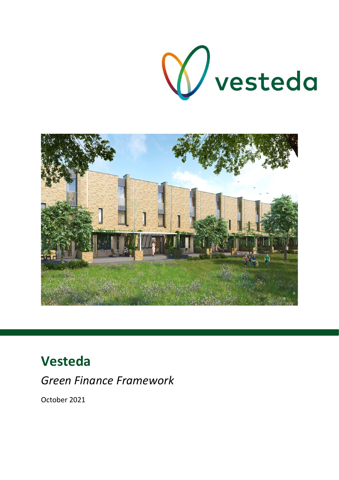



# **Vesteda**

*Green Finance Framework*

October 2021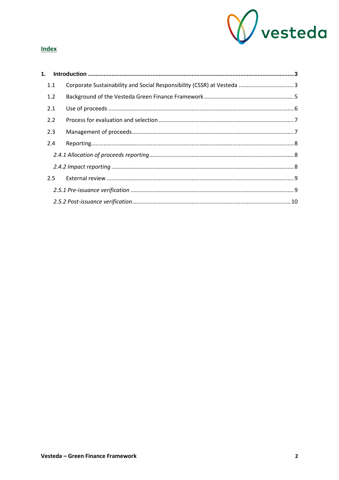

### **Index**

| 1.  |  |  |  |  |
|-----|--|--|--|--|
| 1.1 |  |  |  |  |
| 1.2 |  |  |  |  |
| 2.1 |  |  |  |  |
| 2.2 |  |  |  |  |
| 2.3 |  |  |  |  |
| 2.4 |  |  |  |  |
|     |  |  |  |  |
|     |  |  |  |  |
| 2.5 |  |  |  |  |
|     |  |  |  |  |
|     |  |  |  |  |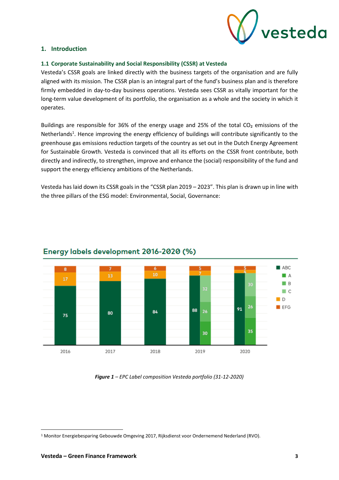

#### <span id="page-2-0"></span>**1. Introduction**

#### <span id="page-2-1"></span>**1.1 Corporate Sustainability and Social Responsibility (CSSR) at Vesteda**

Vesteda's CSSR goals are linked directly with the business targets of the organisation and are fully aligned with its mission. The CSSR plan is an integral part of the fund's business plan and is therefore firmly embedded in day-to-day business operations. Vesteda sees CSSR as vitally important for the long-term value development of its portfolio, the organisation as a whole and the society in which it operates.

Buildings are responsible for 36% of the energy usage and 25% of the total CO<sub>2</sub> emissions of the Netherlands<sup>1</sup>. Hence improving the energy efficiency of buildings will contribute significantly to the greenhouse gas emissions reduction targets of the country as set out in the Dutch Energy Agreement for Sustainable Growth. Vesteda is convinced that all its efforts on the CSSR front contribute, both directly and indirectly, to strengthen, improve and enhance the (social) responsibility of the fund and support the energy efficiency ambitions of the Netherlands.

Vesteda has laid down its CSSR goals in the "CSSR plan 2019 – 2023". This plan is drawn up in line with the three pillars of the ESG model: Environmental, Social, Governance:



## Energy labels development 2016-2020 (%)

*Figure 1 – EPC Label composition Vesteda portfolio (31-12-2020)*

<sup>1</sup> Monitor Energiebesparing Gebouwde Omgeving 2017, Rijksdienst voor Ondernemend Nederland (RVO).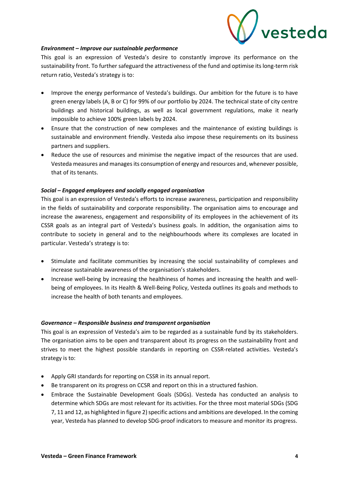

#### *Environment – Improve our sustainable performance*

This goal is an expression of Vesteda's desire to constantly improve its performance on the sustainability front. To further safeguard the attractiveness of the fund and optimise its long-term risk return ratio, Vesteda's strategy is to:

- Improve the energy performance of Vesteda's buildings. Our ambition for the future is to have green energy labels (A, B or C) for 99% of our portfolio by 2024. The technical state of city centre buildings and historical buildings, as well as local government regulations, make it nearly impossible to achieve 100% green labels by 2024.
- Ensure that the construction of new complexes and the maintenance of existing buildings is sustainable and environment friendly. Vesteda also impose these requirements on its business partners and suppliers.
- Reduce the use of resources and minimise the negative impact of the resources that are used. Vesteda measures and managesits consumption of energy and resources and, whenever possible, that of its tenants.

#### *Social – Engaged employees and socially engaged organisation*

This goal is an expression of Vesteda's efforts to increase awareness, participation and responsibility in the fields of sustainability and corporate responsibility. The organisation aims to encourage and increase the awareness, engagement and responsibility of its employees in the achievement of its CSSR goals as an integral part of Vesteda's business goals. In addition, the organisation aims to contribute to society in general and to the neighbourhoods where its complexes are located in particular. Vesteda's strategy is to:

- Stimulate and facilitate communities by increasing the social sustainability of complexes and increase sustainable awareness of the organisation's stakeholders.
- Increase well-being by increasing the healthiness of homes and increasing the health and wellbeing of employees. In its Health & Well-Being Policy, Vesteda outlines its goals and methods to increase the health of both tenants and employees.

#### *Governance – Responsible business and transparent organisation*

This goal is an expression of Vesteda's aim to be regarded as a sustainable fund by its stakeholders. The organisation aims to be open and transparent about its progress on the sustainability front and strives to meet the highest possible standards in reporting on CSSR-related activities. Vesteda's strategy is to:

- Apply GRI standards for reporting on CSSR in its annual report.
- Be transparent on its progress on CCSR and report on this in a structured fashion.
- Embrace the Sustainable Development Goals (SDGs). Vesteda has conducted an analysis to determine which SDGs are most relevant for its activities. For the three most material SDGs (SDG 7, 11 and 12, as highlighted in figure 2) specific actions and ambitions are developed. In the coming year, Vesteda has planned to develop SDG-proof indicators to measure and monitor its progress.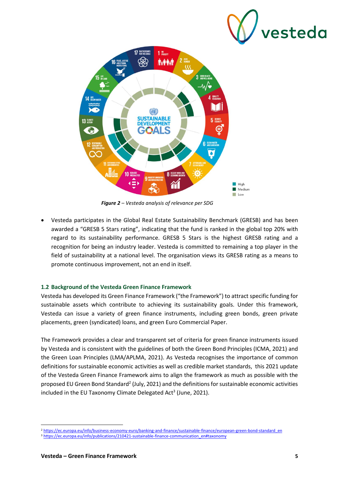

*Figure 2 – Vesteda analysis of relevance per SDG*

• Vesteda participates in the Global Real Estate Sustainability Benchmark (GRESB) and has been awarded a "GRESB 5 Stars rating", indicating that the fund is ranked in the global top 20% with regard to its sustainability performance. GRESB 5 Stars is the highest GRESB rating and a recognition for being an industry leader. Vesteda is committed to remaining a top player in the field of sustainability at a national level. The organisation views its GRESB rating as a means to promote continuous improvement, not an end in itself.

#### <span id="page-4-0"></span>**1.2 Background of the Vesteda Green Finance Framework**

Vesteda has developed its Green Finance Framework ("the Framework") to attract specific funding for sustainable assets which contribute to achieving its sustainability goals. Under this framework, Vesteda can issue a variety of green finance instruments, including green bonds, green private placements, green (syndicated) loans, and green Euro Commercial Paper.

The Framework provides a clear and transparent set of criteria for green finance instruments issued by Vesteda and is consistent with the guidelines of both the Green Bond Principles (ICMA, 2021) and the Green Loan Principles (LMA/APLMA, 2021). As Vesteda recognises the importance of common definitions for sustainable economic activities as well as credible market standards, this 2021 update of the Vesteda Green Finance Framework aims to align the framework as much as possible with the proposed EU Green Bond Standard<sup>2</sup> (July, 2021) and the definitions for sustainable economic activities included in the EU Taxonomy Climate Delegated Act<sup>3</sup> (June, 2021).

<sup>&</sup>lt;sup>2</sup> [https://ec.europa.eu/info/business-economy-euro/banking-and-finance/sustainable-finance/european-green-bond-standard\\_en](https://ec.europa.eu/info/business-economy-euro/banking-and-finance/sustainable-finance/european-green-bond-standard_en)

<sup>3</sup> [https://ec.europa.eu/info/publications/210421-sustainable-finance-communication\\_en#taxonomy](https://ec.europa.eu/info/publications/210421-sustainable-finance-communication_en#taxonomy)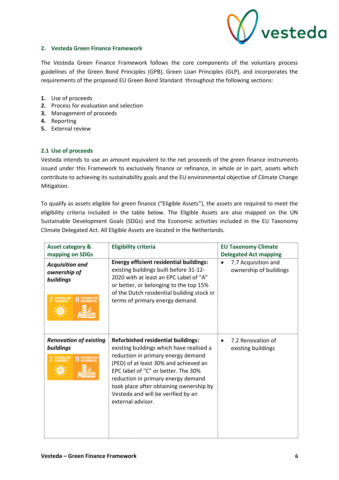

#### **2. Vesteda Green Finance Framework**

The Vesteda Green Finance Framework follows the core components of the voluntary process guidelines of the Green Bond Principles (GPB), Green Loan Principles (GLP), and incorporates the requirements of the proposed EU Green Bond Standard throughout the following sections:

- **1.** Use of proceeds
- **2.** Process for evaluation and selection
- **3.** Management of proceeds
- **4.** Reporting
- **5.** External review

#### <span id="page-5-0"></span>**2.1 Use of proceeds**

Vesteda intends to use an amount equivalent to the net proceeds of the green finance instruments issued under this Framework to exclusively finance or refinance, in whole or in part, assets which contribute to achieving its sustainability goals and the EU environmental objective of Climate Change Mitigation.

To qualify as assets eligible for green finance ("Eligible Assets"), the assets are required to meet the eligibility criteria included in the table below. The Eligible Assets are also mapped on the UN Sustainable Development Goals (SDGs) and the Economic activities included in the EU Taxonomy Climate Delegated Act. All Eligible Assets are located in the Netherlands.

| <b>Asset category &amp;</b><br>mapping on SDGs                                        | <b>Eligibility criteria</b>                                                                                                                                                                                                                                                                                                                             | <b>EU Taxonomy Climate</b><br><b>Delegated Act mapping</b> |
|---------------------------------------------------------------------------------------|---------------------------------------------------------------------------------------------------------------------------------------------------------------------------------------------------------------------------------------------------------------------------------------------------------------------------------------------------------|------------------------------------------------------------|
| <b>Acquisition and</b><br>ownership of<br>buildings<br>AFFORDABLE AND<br>CLEAN ENERGY | <b>Energy efficient residential buildings:</b><br>existing buildings built before 31-12-<br>2020 with at least an EPC Label of "A"<br>or better, or belonging to the top 15%<br>of the Dutch residential building stock in<br>terms of primary energy demand.                                                                                           | 7.7 Acquisition and<br>ownership of buildings              |
| <b>Renovation of existing</b><br>buildings<br>AFFORDABLE AND<br>CLEAN ENERGY          | <b>Refurbished residential buildings:</b><br>existing buildings which have realised a<br>reduction in primary energy demand<br>(PED) of at least 30% and achieved an<br>EPC label of "C" or better. The 30%<br>reduction in primary energy demand<br>took place after obtaining ownership by<br>Vesteda and will be verified by an<br>external advisor. | 7.2 Renovation of<br>existing buildings                    |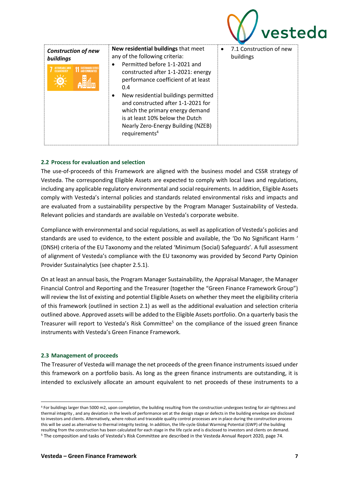|                                                                       |                                                                                                                                                                                                                                                                                                                                                                                                                               | vestedd                                           |
|-----------------------------------------------------------------------|-------------------------------------------------------------------------------------------------------------------------------------------------------------------------------------------------------------------------------------------------------------------------------------------------------------------------------------------------------------------------------------------------------------------------------|---------------------------------------------------|
| <b>Construction of new</b><br>buildings<br><b>14 SUSTAINABLE CITI</b> | New residential buildings that meet<br>any of the following criteria:<br>Permitted before 1-1-2021 and<br>constructed after 1-1-2021: energy<br>performance coefficient of at least<br>0.4<br>New residential buildings permitted<br>$\bullet$<br>and constructed after 1-1-2021 for<br>which the primary energy demand<br>is at least 10% below the Dutch<br>Nearly Zero-Energy Building (NZEB)<br>requirements <sup>4</sup> | 7.1 Construction of new<br>$\bullet$<br>buildings |

#### <span id="page-6-0"></span>**2.2 Process for evaluation and selection**

The use-of-proceeds of this Framework are aligned with the business model and CSSR strategy of Vesteda. The corresponding Eligible Assets are expected to comply with local laws and regulations, including any applicable regulatory environmental and social requirements. In addition, Eligible Assets comply with Vesteda's internal policies and standards related environmental risks and impacts and are evaluated from a sustainability perspective by the Program Manager Sustainability of Vesteda. Relevant policies and standards are available on Vesteda's [corporate website.](https://www.vesteda.com/en/corporate/sustainability/sustainability-related-disclosures)

Compliance with environmental and social regulations, as well as application of Vesteda's policies and standards are used to evidence, to the extent possible and available, the 'Do No Significant Harm ' (DNSH) criteria of the EU Taxonomy and the related 'Minimum (Social) Safeguards'. A full assessment of alignment of Vesteda's compliance with the EU taxonomy was provided by Second Party Opinion Provider Sustainalytics (see chapter 2.5.1).

On at least an annual basis, the Program Manager Sustainability, the Appraisal Manager, the Manager Financial Control and Reporting and the Treasurer (together the "Green Finance Framework Group") will review the list of existing and potential Eligible Assets on whether they meet the eligibility criteria of this framework (outlined in section 2.1) as well as the additional evaluation and selection criteria outlined above. Approved assets will be added to the Eligible Assets portfolio. On a quarterly basis the Treasurer will report to Vesteda's Risk Committee<sup>5</sup> on the compliance of the issued green finance instruments with Vesteda's Green Finance Framework.

#### <span id="page-6-1"></span>**2.3 Management of proceeds**

The Treasurer of Vesteda will manage the net proceeds of the green finance instruments issued under this framework on a portfolio basis. As long as the green finance instruments are outstanding, it is intended to exclusively allocate an amount equivalent to net proceeds of these instruments to a

<sup>4</sup> For buildings larger than 5000 m2, upon completion, the building resulting from the construction undergoes testing for air-tightness and thermal integrity , and any deviation in the levels of performance set at the design stage or defects in the building envelope are disclosed to investors and clients. Alternatively, where robust and traceable quality control processes are in place during the construction process this will be used as alternative to thermal integrity testing. In addition, the life-cycle Global Warming Potential (GWP) of the building resulting from the construction has been calculated for each stage in the life cycle and is disclosed to investors and clients on demand. <sup>5</sup> The composition and tasks of Vesteda's Risk Committee are described in the Vesteda Annual Report 2020, page 74.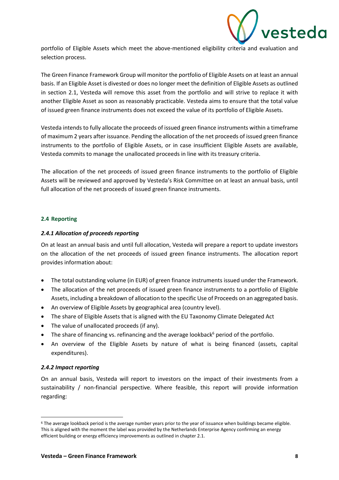

portfolio of Eligible Assets which meet the above-mentioned eligibility criteria and evaluation and selection process.

The Green Finance Framework Group will monitor the portfolio of Eligible Assets on at least an annual basis. If an Eligible Asset is divested or does no longer meet the definition of Eligible Assets as outlined in section 2.1, Vesteda will remove this asset from the portfolio and will strive to replace it with another Eligible Asset as soon as reasonably practicable. Vesteda aims to ensure that the total value of issued green finance instruments does not exceed the value of its portfolio of Eligible Assets.

Vesteda intends to fully allocate the proceeds of issued green finance instruments within a timeframe of maximum 2 years after issuance. Pending the allocation of the net proceeds of issued green finance instruments to the portfolio of Eligible Assets, or in case insufficient Eligible Assets are available, Vesteda commits to manage the unallocated proceeds in line with its treasury criteria.

The allocation of the net proceeds of issued green finance instruments to the portfolio of Eligible Assets will be reviewed and approved by Vesteda's Risk Committee on at least an annual basis, until full allocation of the net proceeds of issued green finance instruments.

#### <span id="page-7-0"></span>**2.4 Reporting**

#### <span id="page-7-1"></span>*2.4.1 Allocation of proceeds reporting*

On at least an annual basis and until full allocation, Vesteda will prepare a report to update investors on the allocation of the net proceeds of issued green finance instruments. The allocation report provides information about:

- The total outstanding volume (in EUR) of green finance instruments issued under the Framework.
- The allocation of the net proceeds of issued green finance instruments to a portfolio of Eligible Assets, including a breakdown of allocation to the specific Use of Proceeds on an aggregated basis.
- An overview of Eligible Assets by geographical area (country level).
- The share of Eligible Assets that is aligned with the EU Taxonomy Climate Delegated Act
- The value of unallocated proceeds (if any).
- The share of financing vs. refinancing and the average lookback $6$  period of the portfolio.
- An overview of the Eligible Assets by nature of what is being financed (assets, capital expenditures).

#### <span id="page-7-2"></span>*2.4.2 Impact reporting*

On an annual basis, Vesteda will report to investors on the impact of their investments from a sustainability / non-financial perspective. Where feasible, this report will provide information regarding:

<sup>6</sup> The average lookback period is the average number years prior to the year of issuance when buildings became eligible. This is aligned with the moment the label was provided by the Netherlands Enterprise Agency confirming an energy efficient building or energy efficiency improvements as outlined in chapter 2.1.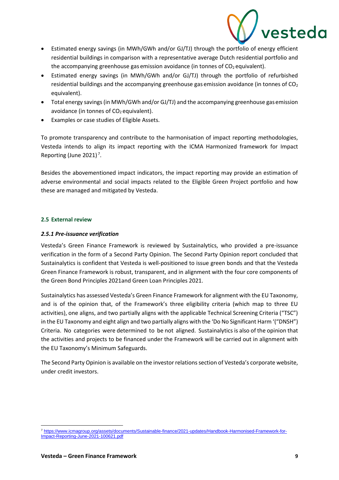

- Estimated energy savings (in MWh/GWh and/or GJ/TJ) through the portfolio of energy efficient residential buildings in comparison with a representative average Dutch residential portfolio and the accompanying greenhouse gas emission avoidance (in tonnes of  $CO<sub>2</sub>$  equivalent).
- Estimated energy savings (in MWh/GWh and/or GJ/TJ) through the portfolio of refurbished residential buildings and the accompanying greenhouse gas emission avoidance (in tonnes of  $CO<sub>2</sub>$ equivalent).
- Total energy savings (in MWh/GWh and/or GJ/TJ) and the accompanying greenhouse gasemission avoidance (in tonnes of  $CO<sub>2</sub>$  equivalent).
- Examples or case studies of Eligible Assets.

To promote transparency and contribute to the harmonisation of impact reporting methodologies, Vesteda intends to align its impact reporting with the ICMA Harmonized framework for Impact Reporting (June 2021)<sup>7</sup>.

Besides the abovementioned impact indicators, the impact reporting may provide an estimation of adverse environmental and social impacts related to the Eligible Green Project portfolio and how these are managed and mitigated by Vesteda.

#### <span id="page-8-0"></span>**2.5 External review**

#### <span id="page-8-1"></span>*2.5.1 Pre-issuance verification*

Vesteda's Green Finance Framework is reviewed by Sustainalytics, who provided a pre-issuance verification in the form of a Second Party Opinion. The Second Party Opinion report concluded that Sustainalytics is confident that Vesteda is well-positioned to issue green bonds and that the Vesteda Green Finance Framework is robust, transparent, and in alignment with the four core components of the Green Bond Principles 2021and Green Loan Principles 2021.

Sustainalytics has assessed Vesteda's Green Finance Framework for alignment with the EU Taxonomy, and is of the opinion that, of the Framework's three eligibility criteria (which map to three EU activities), one aligns, and two partially aligns with the applicable Technical Screening Criteria ("TSC") in the EU Taxonomy and eight align and two partially aligns with the 'Do No Significant Harm '("DNSH") Criteria. No categories were determined to be not aligned. Sustainalytics is also of the opinion that the activities and projects to be financed under the Framework will be carried out in alignment with the EU Taxonomy's Minimum Safeguards.

The Second Party Opinion is available on the investor relations section of Vesteda's corporate website, under credit investors.

<sup>7</sup> [https://www.icmagroup.org/assets/documents/Sustainable-finance/2021-updates/Handbook-Harmonised-Framework-for-](https://www.icmagroup.org/assets/documents/Sustainable-finance/2021-updates/Handbook-Harmonised-Framework-for-Impact-Reporting-June-2021-100621.pdf)[Impact-Reporting-June-2021-100621.pdf](https://www.icmagroup.org/assets/documents/Sustainable-finance/2021-updates/Handbook-Harmonised-Framework-for-Impact-Reporting-June-2021-100621.pdf)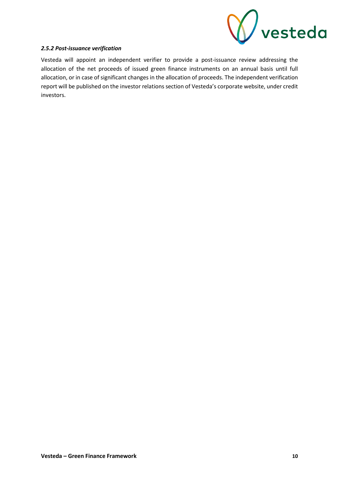

#### <span id="page-9-0"></span>*2.5.2 Post-issuance verification*

Vesteda will appoint an independent verifier to provide a post-issuance review addressing the allocation of the net proceeds of issued green finance instruments on an annual basis until full allocation, or in case of significant changes in the allocation of proceeds. The independent verification report will be published on the investor relations section of Vesteda's corporate website, under credit investors.